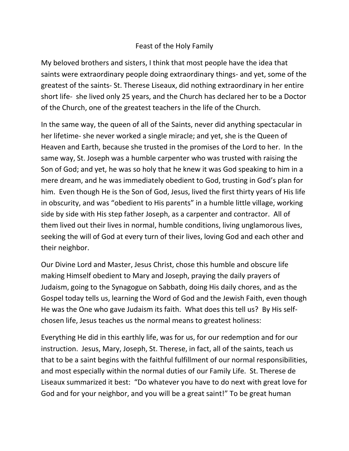## Feast of the Holy Family

My beloved brothers and sisters, I think that most people have the idea that saints were extraordinary people doing extraordinary things- and yet, some of the greatest of the saints- St. Therese Liseaux, did nothing extraordinary in her entire short life- she lived only 25 years, and the Church has declared her to be a Doctor of the Church, one of the greatest teachers in the life of the Church.

In the same way, the queen of all of the Saints, never did anything spectacular in her lifetime- she never worked a single miracle; and yet, she is the Queen of Heaven and Earth, because she trusted in the promises of the Lord to her. In the same way, St. Joseph was a humble carpenter who was trusted with raising the Son of God; and yet, he was so holy that he knew it was God speaking to him in a mere dream, and he was immediately obedient to God, trusting in God's plan for him. Even though He is the Son of God, Jesus, lived the first thirty years of His life in obscurity, and was "obedient to His parents" in a humble little village, working side by side with His step father Joseph, as a carpenter and contractor. All of them lived out their lives in normal, humble conditions, living unglamorous lives, seeking the will of God at every turn of their lives, loving God and each other and their neighbor.

Our Divine Lord and Master, Jesus Christ, chose this humble and obscure life making Himself obedient to Mary and Joseph, praying the daily prayers of Judaism, going to the Synagogue on Sabbath, doing His daily chores, and as the Gospel today tells us, learning the Word of God and the Jewish Faith, even though He was the One who gave Judaism its faith. What does this tell us? By His selfchosen life, Jesus teaches us the normal means to greatest holiness:

Everything He did in this earthly life, was for us, for our redemption and for our instruction. Jesus, Mary, Joseph, St. Therese, in fact, all of the saints, teach us that to be a saint begins with the faithful fulfillment of our normal responsibilities, and most especially within the normal duties of our Family Life. St. Therese de Liseaux summarized it best: "Do whatever you have to do next with great love for God and for your neighbor, and you will be a great saint!" To be great human